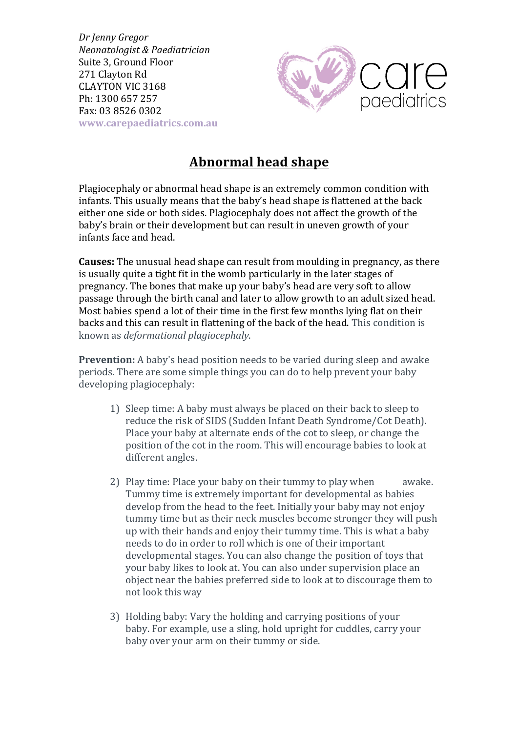*Dr Jenny Gregor Neonatologist & Paediatrician* Suite 3, Ground Floor 271 Clayton Rd CLAYTON VIC 3168 Ph: 1300 657 257 Fax: 03 8526 0302 **www.carepaediatrics.com.au**



## **Abnormal head shape**

Plagiocephaly or abnormal head shape is an extremely common condition with infants. This usually means that the baby's head shape is flattened at the back either one side or both sides. Plagiocephaly does not affect the growth of the baby's brain or their development but can result in uneven growth of your infants face and head.

**Causes:** The unusual head shape can result from moulding in pregnancy, as there is usually quite a tight fit in the womb particularly in the later stages of pregnancy. The bones that make up your baby's head are very soft to allow passage through the birth canal and later to allow growth to an adult sized head. Most babies spend a lot of their time in the first few months lying flat on their backs and this can result in flattening of the back of the head. This condition is known as *deformational plagiocephaly*. 

**Prevention:** A baby's head position needs to be varied during sleep and awake periods. There are some simple things you can do to help prevent your baby developing plagiocephaly:

- 1) Sleep time: A baby must always be placed on their back to sleep to reduce the risk of SIDS (Sudden Infant Death Syndrome/Cot Death). Place your baby at alternate ends of the cot to sleep, or change the position of the cot in the room. This will encourage babies to look at different angles.
- 2) Play time: Place your baby on their tummy to play when awake. Tummy time is extremely important for developmental as babies develop from the head to the feet. Initially your baby may not enjoy tummy time but as their neck muscles become stronger they will push up with their hands and enjoy their tummy time. This is what a baby needs to do in order to roll which is one of their important developmental stages. You can also change the position of toys that your baby likes to look at. You can also under supervision place an object near the babies preferred side to look at to discourage them to not look this way
- 3) Holding baby: Vary the holding and carrying positions of your baby. For example, use a sling, hold upright for cuddles, carry your baby over your arm on their tummy or side.